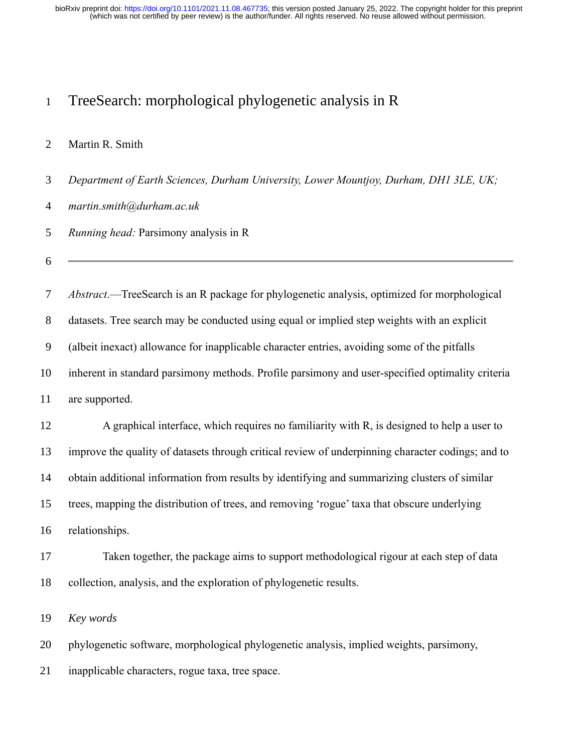## TreeSearch: morphological phylogenetic analysis in R

#### Martin R. Smith

*Department of Earth Sciences, Durham University, Lower Mountjoy, Durham, DH1 3LE, UK;* 

*martin.smith@durham.ac.uk*

*Running head:* Parsimony analysis in R

 *Abstract*.—TreeSearch is an R package for phylogenetic analysis, optimized for morphological datasets. Tree search may be conducted using equal or implied step weights with an explicit (albeit inexact) allowance for inapplicable character entries, avoiding some of the pitfalls inherent in standard parsimony methods. Profile parsimony and user-specified optimality criteria

are supported.

 A graphical interface, which requires no familiarity with R, is designed to help a user to improve the quality of datasets through critical review of underpinning character codings; and to obtain additional information from results by identifying and summarizing clusters of similar trees, mapping the distribution of trees, and removing 'rogue' taxa that obscure underlying relationships.

 Taken together, the package aims to support methodological rigour at each step of data collection, analysis, and the exploration of phylogenetic results.

*Key words*

phylogenetic software, morphological phylogenetic analysis, implied weights, parsimony,

inapplicable characters, rogue taxa, tree space.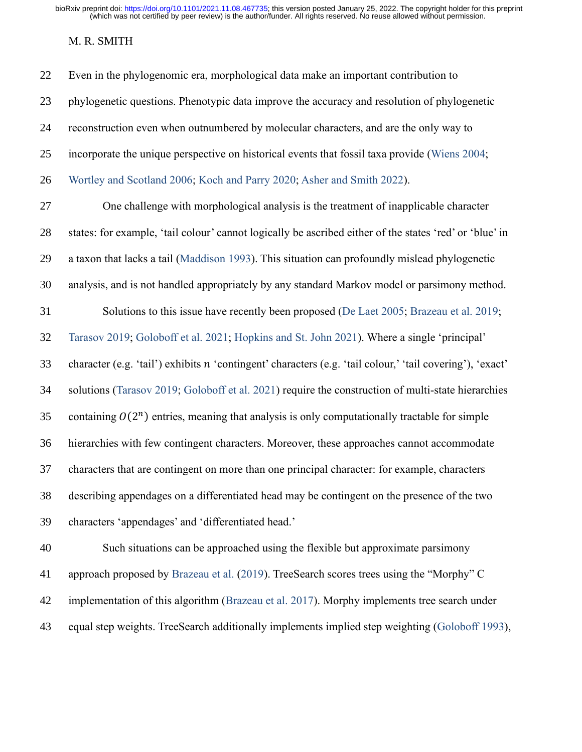## M. R. SMITH

| 22 | Even in the phylogenomic era, morphological data make an important contribution to                        |
|----|-----------------------------------------------------------------------------------------------------------|
| 23 | phylogenetic questions. Phenotypic data improve the accuracy and resolution of phylogenetic               |
| 24 | reconstruction even when outnumbered by molecular characters, and are the only way to                     |
| 25 | incorporate the unique perspective on historical events that fossil taxa provide (Wiens 2004;             |
| 26 | Wortley and Scotland 2006; Koch and Parry 2020; Asher and Smith 2022).                                    |
| 27 | One challenge with morphological analysis is the treatment of inapplicable character                      |
| 28 | states: for example, 'tail colour' cannot logically be ascribed either of the states 'red' or 'blue' in   |
| 29 | a taxon that lacks a tail (Maddison 1993). This situation can profoundly mislead phylogenetic             |
| 30 | analysis, and is not handled appropriately by any standard Markov model or parsimony method.              |
| 31 | Solutions to this issue have recently been proposed (De Laet 2005; Brazeau et al. 2019;                   |
| 32 | Tarasov 2019; Goloboff et al. 2021; Hopkins and St. John 2021). Where a single 'principal'                |
| 33 | character (e.g. 'tail') exhibits n 'contingent' characters (e.g. 'tail colour,' 'tail covering'), 'exact' |
| 34 | solutions (Tarasov 2019; Goloboff et al. 2021) require the construction of multi-state hierarchies        |
| 35 | containing $O(2^n)$ entries, meaning that analysis is only computationally tractable for simple           |
| 36 | hierarchies with few contingent characters. Moreover, these approaches cannot accommodate                 |
| 37 | characters that are contingent on more than one principal character: for example, characters              |
| 38 | describing appendages on a differentiated head may be contingent on the presence of the two               |
| 39 | characters 'appendages' and 'differentiated head.'                                                        |
| 40 | Such situations can be approached using the flexible but approximate parsimony                            |
| 41 | approach proposed by Brazeau et al. (2019). TreeSearch scores trees using the "Morphy" C                  |
| 42 | implementation of this algorithm (Brazeau et al. 2017). Morphy implements tree search under               |
| 43 | equal step weights. TreeSearch additionally implements implied step weighting (Goloboff 1993),            |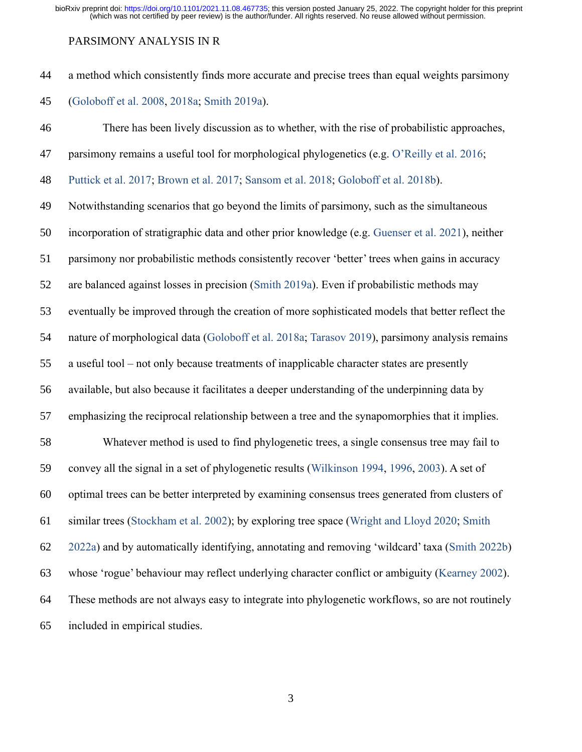#### PARSIMONY ANALYSIS IN R

 a method which consistently finds more accurate and precise trees than equal weights parsimony [\(Goloboff et al. 2008,](#page-16-2) [2018a;](#page-16-3) [Smith 2019a\)](#page-20-0).

 There has been lively discussion as to whether, with the rise of probabilistic approaches, 47 parsimony remains a useful tool for morphological phylogenetics (e.g. [O'Reilly et al. 2016;](#page-19-0) [Puttick et al. 2017;](#page-19-1) [Brown et al. 2017;](#page-15-1) [Sansom et al. 2018;](#page-19-2) [Goloboff et al. 2018b\)](#page-16-4). Notwithstanding scenarios that go beyond the limits of parsimony, such as the simultaneous incorporation of stratigraphic data and other prior knowledge (e.g. [Guenser et al. 2021\)](#page-17-1), neither parsimony nor probabilistic methods consistently recover 'better' trees when gains in accuracy are balanced against losses in precision [\(Smith 2019a\)](#page-20-0). Even if probabilistic methods may eventually be improved through the creation of more sophisticated models that better reflect the nature of morphological data [\(Goloboff et al. 2018a;](#page-16-3) [Tarasov 2019\)](#page-21-1), parsimony analysis remains a useful tool – not only because treatments of inapplicable character states are presently available, but also because it facilitates a deeper understanding of the underpinning data by emphasizing the reciprocal relationship between a tree and the synapomorphies that it implies. Whatever method is used to find phylogenetic trees, a single consensus tree may fail to convey all the signal in a set of phylogenetic results [\(Wilkinson 1994,](#page-22-1) [1996,](#page-22-2) [2003\)](#page-22-3). A set of optimal trees can be better interpreted by examining consensus trees generated from clusters of similar trees [\(Stockham et al. 2002\)](#page-21-2); by exploring tree space [\(Wright and Lloyd 2020;](#page-22-4) [Smith](#page-21-3)  [2022a\)](#page-21-3) and by automatically identifying, annotating and removing 'wildcard' taxa [\(Smith 2022b\)](#page-20-1) whose 'rogue' behaviour may reflect underlying character conflict or ambiguity [\(Kearney 2002\)](#page-17-2). These methods are not always easy to integrate into phylogenetic workflows, so are not routinely included in empirical studies.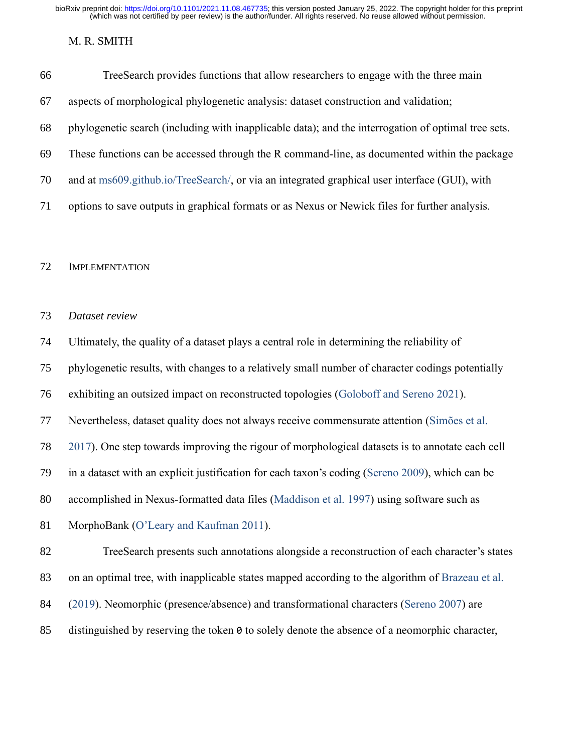#### M. R. SMITH

| 66 | TreeSearch provides functions that allow researchers to engage with the three main                  |
|----|-----------------------------------------------------------------------------------------------------|
| 67 | aspects of morphological phylogenetic analysis: dataset construction and validation;                |
| 68 | phylogenetic search (including with inapplicable data); and the interrogation of optimal tree sets. |
| 69 | These functions can be accessed through the R command-line, as documented within the package        |
| 70 | and at ms609.github.io/TreeSearch/, or via an integrated graphical user interface (GUI), with       |
| 71 | options to save outputs in graphical formats or as Nexus or Newick files for further analysis.      |
|    |                                                                                                     |

IMPLEMENTATION

## *Dataset review*

Ultimately, the quality of a dataset plays a central role in determining the reliability of

phylogenetic results, with changes to a relatively small number of character codings potentially

exhibiting an outsized impact on reconstructed topologies [\(Goloboff and Sereno 2021\)](#page-16-5).

Nevertheless, dataset quality does not always receive commensurate attention [\(Simões et al.](#page-20-2) 

[2017\)](#page-20-2). One step towards improving the rigour of morphological datasets is to annotate each cell

in a dataset with an explicit justification for each taxon's coding [\(Sereno 2009\)](#page-20-3), which can be

accomplished in Nexus-formatted data files [\(Maddison et al. 1997\)](#page-18-2) using software such as

MorphoBank [\(O'Leary and Kaufman 2011\)](#page-19-3).

TreeSearch presents such annotations alongside a reconstruction of each character's states

on an optimal tree, with inapplicable states mapped according to the algorithm of [Brazeau et al.](#page-14-1)

- [\(2019\)](#page-14-1). Neomorphic (presence/absence) and transformational characters [\(Sereno 2007\)](#page-20-4) are
- distinguished by reserving the token 0 to solely denote the absence of a neomorphic character,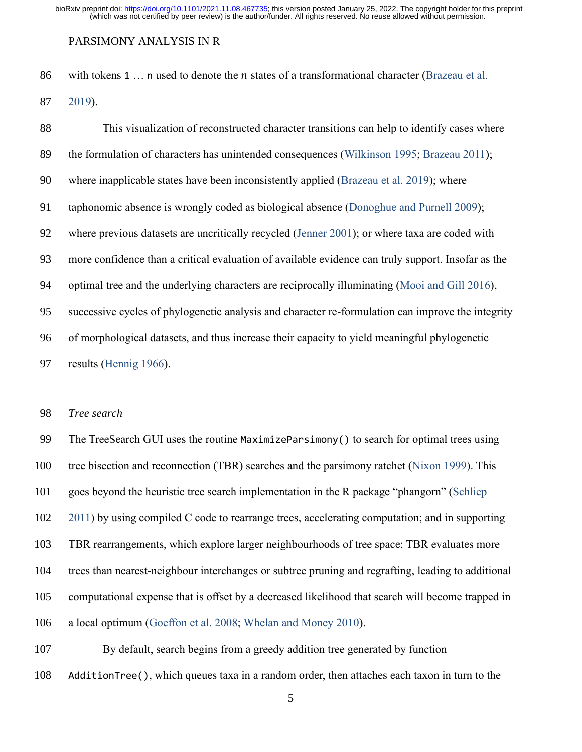#### PARSIMONY ANALYSIS IN R

86 with tokens 1  $\ldots$  n used to denote the *n* states of a transformational character (Brazeau et al.

[2019\)](#page-14-1).

| 88 | This visualization of reconstructed character transitions can help to identify cases where         |
|----|----------------------------------------------------------------------------------------------------|
| 89 | the formulation of characters has unintended consequences (Wilkinson 1995; Brazeau 2011);          |
| 90 | where inapplicable states have been inconsistently applied (Brazeau et al. 2019); where            |
| 91 | taphonomic absence is wrongly coded as biological absence (Donoghue and Purnell 2009);             |
| 92 | where previous datasets are uncritically recycled (Jenner 2001); or where taxa are coded with      |
| 93 | more confidence than a critical evaluation of available evidence can truly support. Insofar as the |
| 94 | optimal tree and the underlying characters are reciprocally illuminating (Mooi and Gill 2016),     |
| 95 | successive cycles of phylogenetic analysis and character re-formulation can improve the integrity  |
| 96 | of morphological datasets, and thus increase their capacity to yield meaningful phylogenetic       |
| 97 | results (Hennig 1966).                                                                             |

#### *Tree search*

 The TreeSearch GUI uses the routine MaximizeParsimony() to search for optimal trees using tree bisection and reconnection (TBR) searches and the parsimony ratchet [\(Nixon 1999\)](#page-18-4). This goes beyond the heuristic tree search implementation in the R package "phangorn" [\(Schliep](#page-20-5)  [2011\)](#page-20-5) by using compiled C code to rearrange trees, accelerating computation; and in supporting TBR rearrangements, which explore larger neighbourhoods of tree space: TBR evaluates more trees than nearest-neighbour interchanges or subtree pruning and regrafting, leading to additional computational expense that is offset by a decreased likelihood that search will become trapped in a local optimum [\(Goeffon et al. 2008;](#page-16-6) [Whelan and Money 2010\)](#page-21-4).

By default, search begins from a greedy addition tree generated by function

AdditionTree(), which queues taxa in a random order, then attaches each taxon in turn to the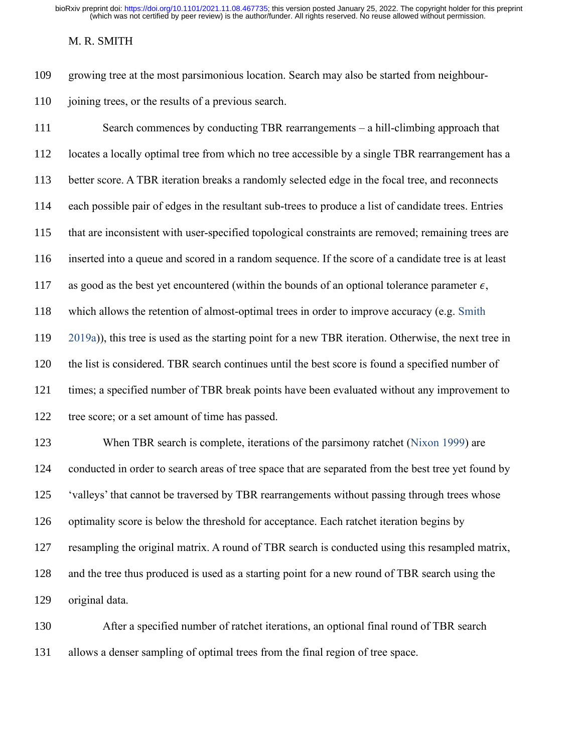#### M. R. SMITH

growing tree at the most parsimonious location. Search may also be started from neighbour-

110 joining trees, or the results of a previous search.

 Search commences by conducting TBR rearrangements – a hill-climbing approach that locates a locally optimal tree from which no tree accessible by a single TBR rearrangement has a better score. A TBR iteration breaks a randomly selected edge in the focal tree, and reconnects each possible pair of edges in the resultant sub-trees to produce a list of candidate trees. Entries that are inconsistent with user-specified topological constraints are removed; remaining trees are inserted into a queue and scored in a random sequence. If the score of a candidate tree is at least 117 as good as the best yet encountered (within the bounds of an optional tolerance parameter  $\epsilon$ , which allows the retention of almost-optimal trees in order to improve accuracy (e.g. [Smith](#page-20-0)  [2019a\)](#page-20-0)), this tree is used as the starting point for a new TBR iteration. Otherwise, the next tree in the list is considered. TBR search continues until the best score is found a specified number of times; a specified number of TBR break points have been evaluated without any improvement to tree score; or a set amount of time has passed. When TBR search is complete, iterations of the parsimony ratchet [\(Nixon 1999\)](#page-18-4) are conducted in order to search areas of tree space that are separated from the best tree yet found by 'valleys' that cannot be traversed by TBR rearrangements without passing through trees whose optimality score is below the threshold for acceptance. Each ratchet iteration begins by resampling the original matrix. A round of TBR search is conducted using this resampled matrix, and the tree thus produced is used as a starting point for a new round of TBR search using the

original data.

 After a specified number of ratchet iterations, an optional final round of TBR search allows a denser sampling of optimal trees from the final region of tree space.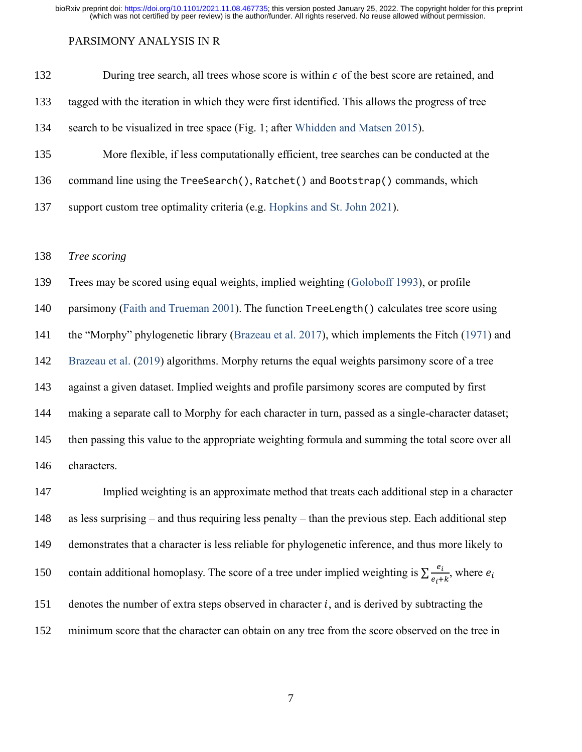#### PARSIMONY ANALYSIS IN R

| 132 | During tree search, all trees whose score is within $\epsilon$ of the best score are retained, and |
|-----|----------------------------------------------------------------------------------------------------|
| 133 | tagged with the iteration in which they were first identified. This allows the progress of tree    |
| 134 | search to be visualized in tree space (Fig. 1; after Whidden and Matsen 2015).                     |
| 135 | More flexible, if less computationally efficient, tree searches can be conducted at the            |
| 136 | command line using the TreeSearch(), Ratchet() and Bootstrap() commands, which                     |
| 137 | support custom tree optimality criteria (e.g. Hopkins and St. John 2021).                          |
|     |                                                                                                    |

## *Tree scoring*

 Trees may be scored using equal weights, implied weighting [\(Goloboff 1993\)](#page-16-1), or profile 140 parsimony [\(Faith and Trueman 2001\)](#page-15-3). The function TreeLength() calculates tree score using the "Morphy" phylogenetic library [\(Brazeau et al. 2017\)](#page-14-2), which implements the Fitch [\(1971\)](#page-15-4) and [Brazeau et al.](#page-14-1) [\(2019\)](#page-14-1) algorithms. Morphy returns the equal weights parsimony score of a tree against a given dataset. Implied weights and profile parsimony scores are computed by first making a separate call to Morphy for each character in turn, passed as a single-character dataset; then passing this value to the appropriate weighting formula and summing the total score over all characters.

 Implied weighting is an approximate method that treats each additional step in a character as less surprising – and thus requiring less penalty – than the previous step. Each additional step demonstrates that a character is less reliable for phylogenetic inference, and thus more likely to contain additional homoplasy. The score of a tree under implied weighting is  $\sum \frac{e_i}{e}$ 150 contain additional homoplasy. The score of a tree under implied weighting is  $\sum \frac{e_i}{e_i+k}$ , where  $e_i$ 151 denotes the number of extra steps observed in character  $i$ , and is derived by subtracting the minimum score that the character can obtain on any tree from the score observed on the tree in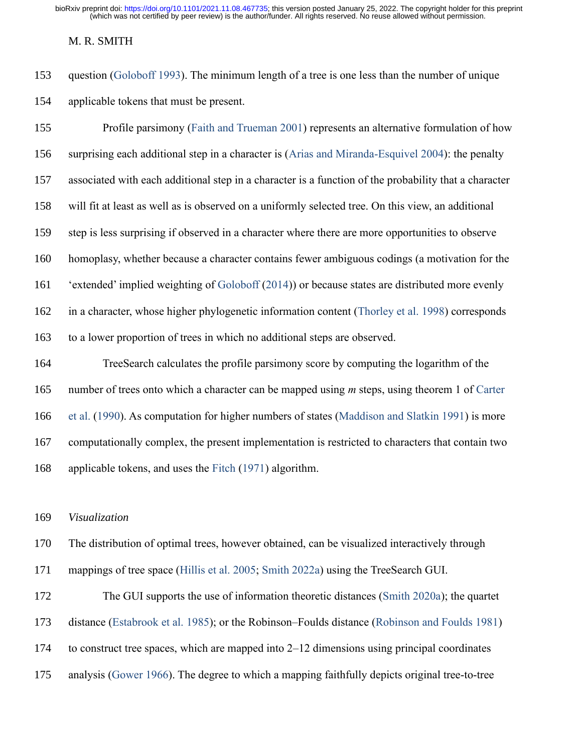#### M. R. SMITH

 question [\(Goloboff 1993\)](#page-16-1). The minimum length of a tree is one less than the number of unique applicable tokens that must be present.

 Profile parsimony [\(Faith and Trueman 2001\)](#page-15-3) represents an alternative formulation of how surprising each additional step in a character is [\(Arias and Miranda-Esquivel 2004\)](#page-14-4): the penalty associated with each additional step in a character is a function of the probability that a character will fit at least as well as is observed on a uniformly selected tree. On this view, an additional step is less surprising if observed in a character where there are more opportunities to observe homoplasy, whether because a character contains fewer ambiguous codings (a motivation for the 'extended' implied weighting of [Goloboff](#page-16-7) [\(2014\)](#page-16-7)) or because states are distributed more evenly in a character, whose higher phylogenetic information content [\(Thorley et al. 1998\)](#page-21-6) corresponds to a lower proportion of trees in which no additional steps are observed. TreeSearch calculates the profile parsimony score by computing the logarithm of the number of trees onto which a character can be mapped using *m* steps, using theorem 1 of [Carter](#page-15-5)  [et al.](#page-15-5) [\(1990\)](#page-15-5). As computation for higher numbers of states [\(Maddison and Slatkin 1991\)](#page-18-5) is more

 computationally complex, the present implementation is restricted to characters that contain two applicable tokens, and uses the [Fitch](#page-15-4) [\(1971\)](#page-15-4) algorithm.

*Visualization*

The distribution of optimal trees, however obtained, can be visualized interactively through

mappings of tree space [\(Hillis et al. 2005;](#page-17-5) [Smith 2022a\)](#page-21-3) using the TreeSearch GUI.

 The GUI supports the use of information theoretic distances [\(Smith 2020a\)](#page-20-6); the quartet distance [\(Estabrook et al. 1985\)](#page-15-6); or the Robinson–Foulds distance [\(Robinson and Foulds 1981\)](#page-19-4) to construct tree spaces, which are mapped into 2–12 dimensions using principal coordinates analysis [\(Gower 1966\)](#page-16-8). The degree to which a mapping faithfully depicts original tree-to-tree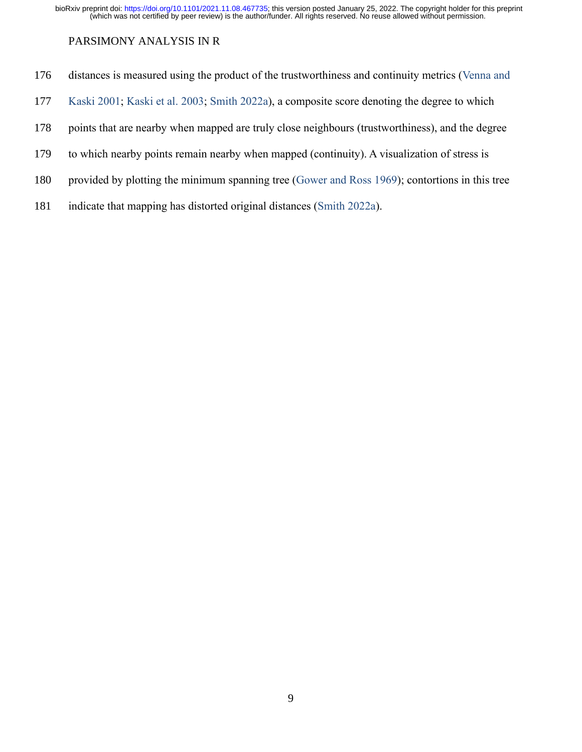## PARSIMONY ANALYSIS IN R

- distances is measured using the product of the trustworthiness and continuity metrics [\(Venna and](#page-21-7)
- [Kaski 2001;](#page-21-7) [Kaski et al. 2003;](#page-17-6) [Smith 2022a\)](#page-21-3), a composite score denoting the degree to which
- points that are nearby when mapped are truly close neighbours (trustworthiness), and the degree
- to which nearby points remain nearby when mapped (continuity). A visualization of stress is
- provided by plotting the minimum spanning tree [\(Gower and Ross 1969\)](#page-16-9); contortions in this tree
- indicate that mapping has distorted original distances [\(Smith 2022a\)](#page-21-3).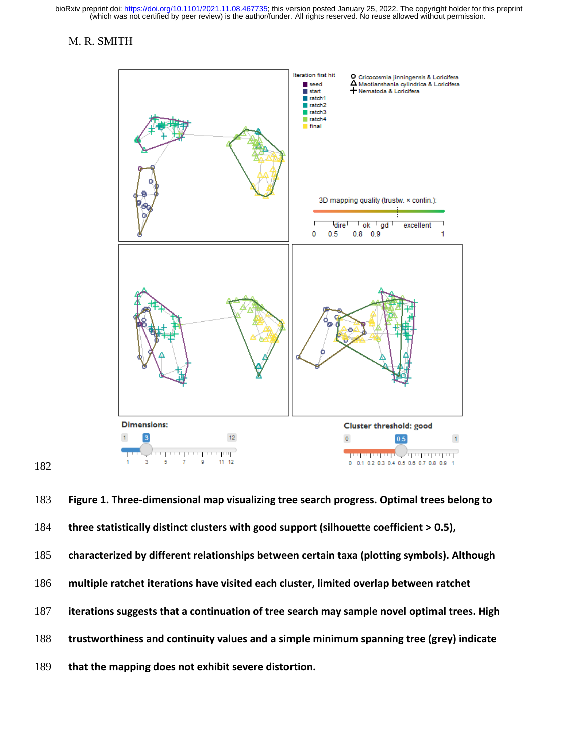#### M. R. SMITH



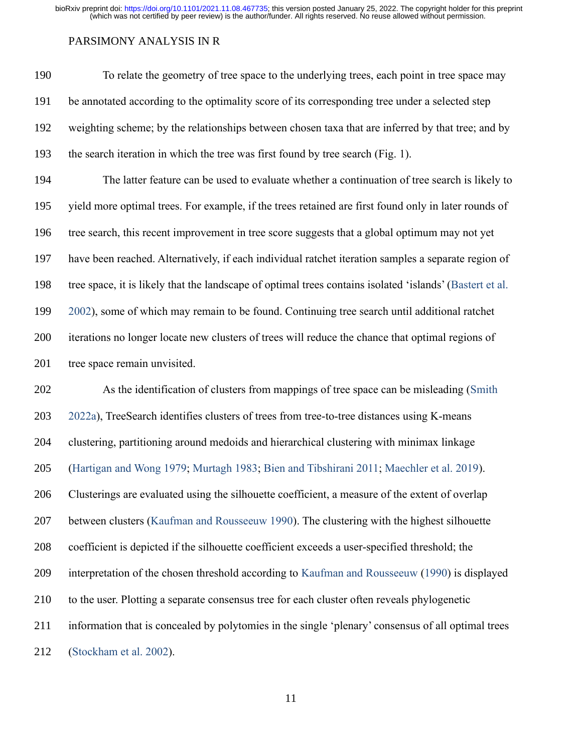#### PARSIMONY ANALYSIS IN R

 To relate the geometry of tree space to the underlying trees, each point in tree space may be annotated according to the optimality score of its corresponding tree under a selected step weighting scheme; by the relationships between chosen taxa that are inferred by that tree; and by the search iteration in which the tree was first found by tree search (Fig. 1).

 The latter feature can be used to evaluate whether a continuation of tree search is likely to yield more optimal trees. For example, if the trees retained are first found only in later rounds of tree search, this recent improvement in tree score suggests that a global optimum may not yet have been reached. Alternatively, if each individual ratchet iteration samples a separate region of tree space, it is likely that the landscape of optimal trees contains isolated 'islands' [\(Bastert et al.](#page-14-5)  [2002\)](#page-14-5), some of which may remain to be found. Continuing tree search until additional ratchet iterations no longer locate new clusters of trees will reduce the chance that optimal regions of 201 tree space remain unvisited.

 As the identification of clusters from mappings of tree space can be misleading [\(Smith](#page-21-3)  [2022a\)](#page-21-3), TreeSearch identifies clusters of trees from tree-to-tree distances using K-means clustering, partitioning around medoids and hierarchical clustering with minimax linkage [\(Hartigan and Wong 1979;](#page-17-7) [Murtagh 1983;](#page-18-6) [Bien and Tibshirani 2011;](#page-14-6) [Maechler et al. 2019\)](#page-18-7). Clusterings are evaluated using the silhouette coefficient, a measure of the extent of overlap between clusters [\(Kaufman and Rousseeuw 1990\)](#page-17-8). The clustering with the highest silhouette coefficient is depicted if the silhouette coefficient exceeds a user-specified threshold; the interpretation of the chosen threshold according to [Kaufman and Rousseeuw](#page-17-8) [\(1990\)](#page-17-8) is displayed to the user. Plotting a separate consensus tree for each cluster often reveals phylogenetic information that is concealed by polytomies in the single 'plenary' consensus of all optimal trees [\(Stockham et al. 2002\)](#page-21-2).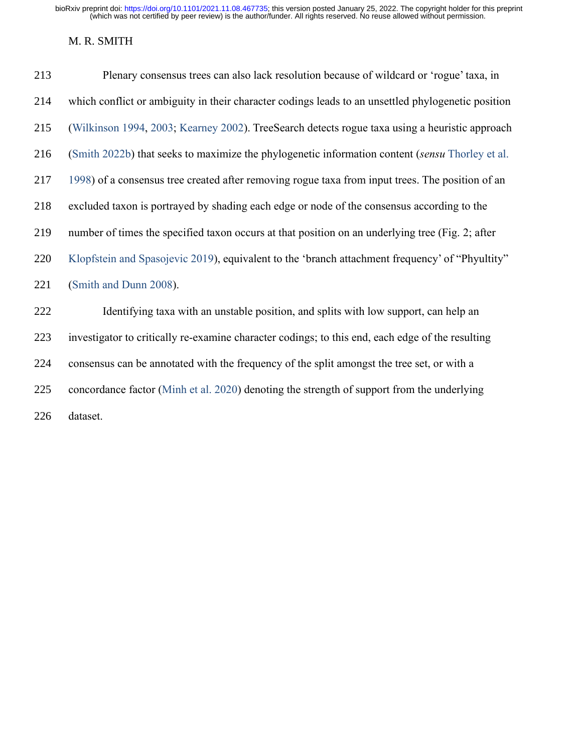## M. R. SMITH

| 213 | Plenary consensus trees can also lack resolution because of wildcard or 'rogue' taxa, in           |
|-----|----------------------------------------------------------------------------------------------------|
| 214 | which conflict or ambiguity in their character codings leads to an unsettled phylogenetic position |
| 215 | (Wilkinson 1994, 2003; Kearney 2002). TreeSearch detects rogue taxa using a heuristic approach     |
| 216 | (Smith 2022b) that seeks to maximize the phylogenetic information content (sensu Thorley et al.    |
| 217 | 1998) of a consensus tree created after removing rogue taxa from input trees. The position of an   |
| 218 | excluded taxon is portrayed by shading each edge or node of the consensus according to the         |
| 219 | number of times the specified taxon occurs at that position on an underlying tree (Fig. 2; after   |
| 220 | Klopfstein and Spasojevic 2019), equivalent to the 'branch attachment frequency' of "Phyultity"    |
| 221 | (Smith and Dunn 2008).                                                                             |
| 222 | Identifying taxa with an unstable position, and splits with low support, can help an               |
| 223 | investigator to critically re-examine character codings; to this end, each edge of the resulting   |
| 224 | consensus can be annotated with the frequency of the split amongst the tree set, or with a         |
| 225 | concordance factor (Minh et al. 2020) denoting the strength of support from the underlying         |
| 226 | dataset.                                                                                           |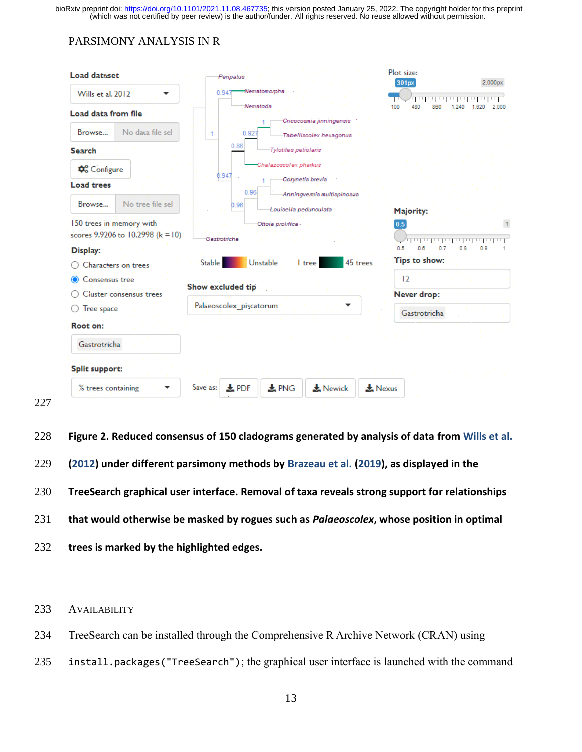## PARSIMONY ANALYSIS IN R

| <b>Load dataset</b>                                     | Peripatus                                                     | Plot size:<br>2,000px<br>301px                       |  |  |  |
|---------------------------------------------------------|---------------------------------------------------------------|------------------------------------------------------|--|--|--|
| Wills et al. 2012<br>▼                                  | Nematomorpha<br>0.947                                         | فتستسره بالمترسيات                                   |  |  |  |
| Load data from file                                     | Nematoda                                                      | 100<br>480<br>860<br>2:000<br>1.240<br>1.620         |  |  |  |
|                                                         | Cricocosmia jinningensis                                      |                                                      |  |  |  |
| No daka file sel<br>Browse                              | 0.927<br>Tabelliscolex hexagonus                              |                                                      |  |  |  |
| <b>Search</b>                                           | 0.86<br>Tylotites petiolaris                                  |                                                      |  |  |  |
| <b><math>\mathbf{\Phi}_{o}^{\circ}</math></b> Configure | Chalazoscolex pharkus<br>0.947<br>Corvnetis brevis            |                                                      |  |  |  |
| <b>Load trees</b>                                       | 0.96<br>Anningvermis multispinosus                            |                                                      |  |  |  |
| No tree file sel<br>Browse                              | 0.96<br>Louisella pedunculata                                 | Majority:                                            |  |  |  |
| 150 trees in memory with                                | Ottoia prolifica-                                             | 0.5<br>$\overline{1}$                                |  |  |  |
| scores 9.9206 to 10.2998 (k = 10)                       | Gastrotricha                                                  | եղել բերել են ինչ<br>0.5<br>0.6<br>0.7<br>0.8<br>0.9 |  |  |  |
| Display:                                                |                                                               | Tips to show:                                        |  |  |  |
| Characters on trees                                     | 45 trees<br><b>Stable</b><br>Unstable<br>I tree               |                                                      |  |  |  |
| Consensus tree                                          | Show excluded tip                                             | 12                                                   |  |  |  |
| <b>Cluster consensus trees</b>                          |                                                               | Never drop:                                          |  |  |  |
| Tree space                                              | Palaeoscolex piscatorum                                       | Gastrotricha                                         |  |  |  |
| Root on:                                                |                                                               |                                                      |  |  |  |
| Gastrotricha                                            |                                                               |                                                      |  |  |  |
| <b>Split support:</b>                                   |                                                               |                                                      |  |  |  |
| % trees containing                                      | Save as:<br>$\frac{1}{2}$ PDF<br>$\frac{1}{24}$ PNG<br>Newick | Nexus                                                |  |  |  |

- **Figure 2. Reduced consensus of 150 cladograms generated by analysis of data from [Wills et al.](#page-22-6)**
- **[\(2012\)](#page-22-6) under different parsimony methods by [Brazeau et al.](#page-14-1) [\(2019\)](#page-14-1), as displayed in the**
- **TreeSearch graphical user interface. Removal of taxa reveals strong support for relationships**
- **that would otherwise be masked by rogues such as** *Palaeoscolex***, whose position in optimal**
- **trees is marked by the highlighted edges.**

AVAILABILITY

- TreeSearch can be installed through the Comprehensive R Archive Network (CRAN) using
- install.packages("TreeSearch"); the graphical user interface is launched with the command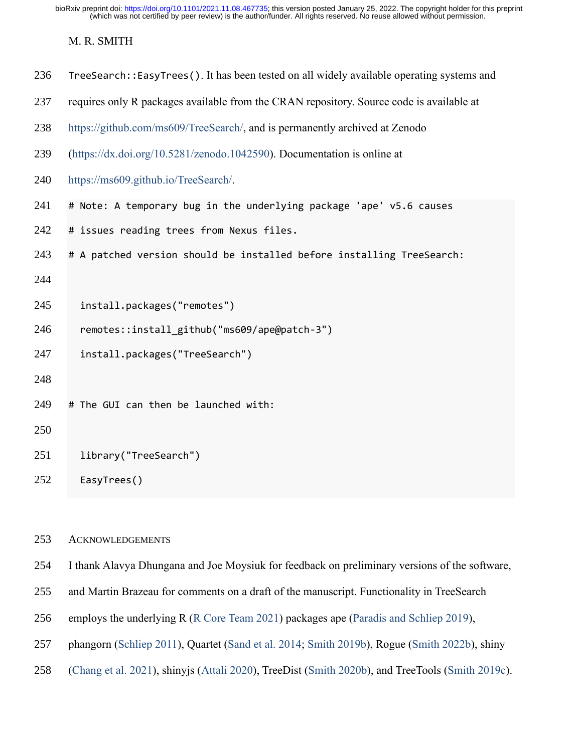## M. R. SMITH

| 236 | TreeSearch:: EasyTrees(). It has been tested on all widely available operating systems and |  |  |  |
|-----|--------------------------------------------------------------------------------------------|--|--|--|
| 237 | requires only R packages available from the CRAN repository. Source code is available at   |  |  |  |
| 238 | https://github.com/ms609/TreeSearch/, and is permanently archived at Zenodo                |  |  |  |
| 239 | (https://dx.doi.org/10.5281/zenodo.1042590). Documentation is online at                    |  |  |  |
| 240 | https://ms609.github.io/TreeSearch/.                                                       |  |  |  |
| 241 | # Note: A temporary bug in the underlying package 'ape' v5.6 causes                        |  |  |  |
| 242 | # issues reading trees from Nexus files.                                                   |  |  |  |
| 243 | # A patched version should be installed before installing TreeSearch:                      |  |  |  |
| 244 |                                                                                            |  |  |  |
| 245 | install.packages("remotes")                                                                |  |  |  |
| 246 | remotes::install_github("ms609/ape@patch-3")                                               |  |  |  |
| 247 | install.packages("TreeSearch")                                                             |  |  |  |
| 248 |                                                                                            |  |  |  |
| 249 | # The GUI can then be launched with:                                                       |  |  |  |
| 250 |                                                                                            |  |  |  |
| 251 | library("TreeSearch")                                                                      |  |  |  |
| 252 | EasyTrees()                                                                                |  |  |  |
|     |                                                                                            |  |  |  |

## ACKNOWLEDGEMENTS

I thank Alavya Dhungana and Joe Moysiuk for feedback on preliminary versions of the software,

- and Martin Brazeau for comments on a draft of the manuscript. Functionality in TreeSearch
- employs the underlying R [\(R Core Team 2021\)](#page-19-5) packages ape [\(Paradis and Schliep 2019\)](#page-19-6),
- phangorn [\(Schliep 2011\)](#page-20-5), Quartet [\(Sand et al. 2014;](#page-19-7) [Smith 2019b\)](#page-20-7), Rogue [\(Smith 2022b\)](#page-20-1), shiny
- [\(Chang et al. 2021\)](#page-15-7), shinyjs [\(Attali 2020\)](#page-14-7), TreeDist [\(Smith 2020b\)](#page-20-8), and TreeTools [\(Smith 2019c\)](#page-20-9).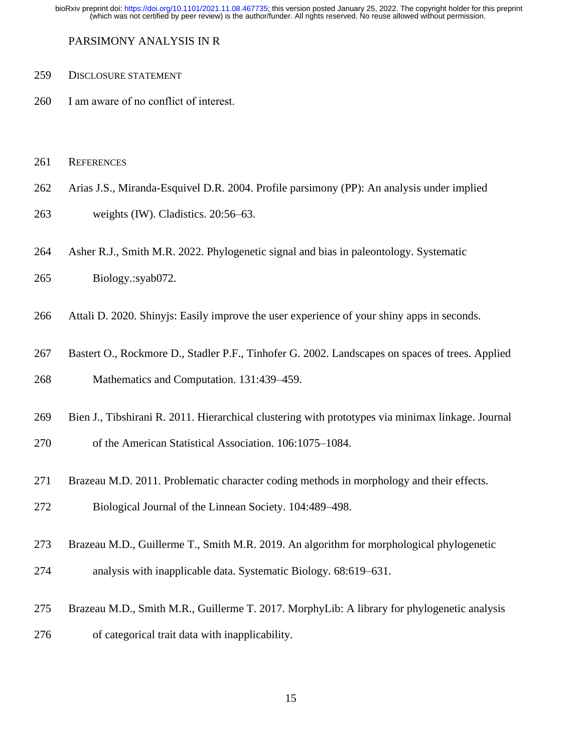PARSIMONY ANALYSIS IN R

#### DISCLOSURE STATEMENT

- I am aware of no conflict of interest.
- REFERENCES
- <span id="page-14-4"></span>Arias J.S., Miranda-Esquivel D.R. 2004. Profile parsimony (PP): An analysis under implied
- weights (IW). Cladistics. 20:56–63.
- <span id="page-14-0"></span>Asher R.J., Smith M.R. 2022. Phylogenetic signal and bias in paleontology. Systematic

Biology.:syab072.

- <span id="page-14-7"></span>Attali D. 2020. Shinyjs: Easily improve the user experience of your shiny apps in seconds.
- <span id="page-14-5"></span> Bastert O., Rockmore D., Stadler P.F., Tinhofer G. 2002. Landscapes on spaces of trees. Applied Mathematics and Computation. 131:439–459.
- <span id="page-14-6"></span>Bien J., Tibshirani R. 2011. Hierarchical clustering with prototypes via minimax linkage. Journal
- of the American Statistical Association. 106:1075–1084.
- <span id="page-14-3"></span>Brazeau M.D. 2011. Problematic character coding methods in morphology and their effects.
- Biological Journal of the Linnean Society. 104:489–498.
- <span id="page-14-1"></span>Brazeau M.D., Guillerme T., Smith M.R. 2019. An algorithm for morphological phylogenetic
- analysis with inapplicable data. Systematic Biology. 68:619–631.
- <span id="page-14-2"></span> Brazeau M.D., Smith M.R., Guillerme T. 2017. MorphyLib: A library for phylogenetic analysis of categorical trait data with inapplicability.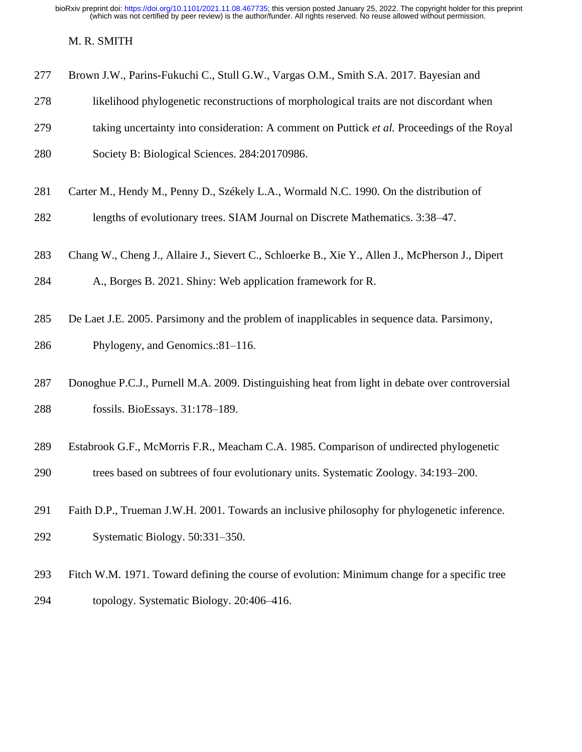M. R. SMITH

<span id="page-15-1"></span>

|  | 277 Brown J.W., Parins-Fukuchi C., Stull G.W., Vargas O.M., Smith S.A. 2017. Bayesian and |  |  |  |  |
|--|-------------------------------------------------------------------------------------------|--|--|--|--|
|  |                                                                                           |  |  |  |  |

- likelihood phylogenetic reconstructions of morphological traits are not discordant when
- taking uncertainty into consideration: A comment on Puttick *et al.* Proceedings of the Royal
- Society B: Biological Sciences. 284:20170986.
- <span id="page-15-5"></span>Carter M., Hendy M., Penny D., Székely L.A., Wormald N.C. 1990. On the distribution of
- lengths of evolutionary trees. SIAM Journal on Discrete Mathematics. 3:38–47.
- <span id="page-15-7"></span>Chang W., Cheng J., Allaire J., Sievert C., Schloerke B., Xie Y., Allen J., McPherson J., Dipert
- A., Borges B. 2021. Shiny: Web application framework for R.
- <span id="page-15-0"></span>De Laet J.E. 2005. Parsimony and the problem of inapplicables in sequence data. Parsimony,
- Phylogeny, and Genomics.:81–116.
- <span id="page-15-2"></span> Donoghue P.C.J., Purnell M.A. 2009. Distinguishing heat from light in debate over controversial fossils. BioEssays. 31:178–189.
- <span id="page-15-6"></span>Estabrook G.F., McMorris F.R., Meacham C.A. 1985. Comparison of undirected phylogenetic
- trees based on subtrees of four evolutionary units. Systematic Zoology. 34:193–200.
- <span id="page-15-3"></span> Faith D.P., Trueman J.W.H. 2001. Towards an inclusive philosophy for phylogenetic inference. Systematic Biology. 50:331–350.
- <span id="page-15-4"></span> Fitch W.M. 1971. Toward defining the course of evolution: Minimum change for a specific tree topology. Systematic Biology. 20:406–416.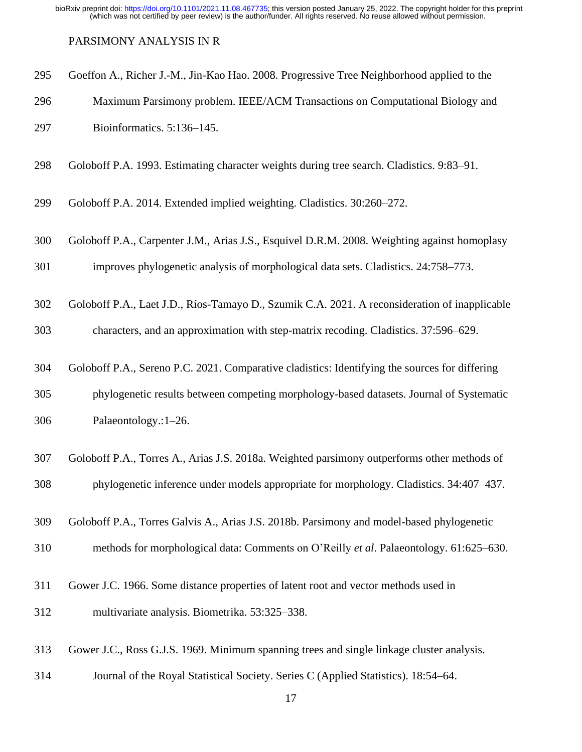#### <span id="page-16-6"></span>PARSIMONY ANALYSIS IN R

- Goeffon A., Richer J.-M., Jin-Kao Hao. 2008. Progressive Tree Neighborhood applied to the
- Maximum Parsimony problem. IEEE/ACM Transactions on Computational Biology and Bioinformatics. 5:136–145.
- <span id="page-16-1"></span>Goloboff P.A. 1993. Estimating character weights during tree search. Cladistics. 9:83–91.
- <span id="page-16-7"></span>Goloboff P.A. 2014. Extended implied weighting. Cladistics. 30:260–272.
- <span id="page-16-2"></span>Goloboff P.A., Carpenter J.M., Arias J.S., Esquivel D.R.M. 2008. Weighting against homoplasy
- improves phylogenetic analysis of morphological data sets. Cladistics. 24:758–773.
- <span id="page-16-0"></span>Goloboff P.A., Laet J.D., Ríos-Tamayo D., Szumik C.A. 2021. A reconsideration of inapplicable
- characters, and an approximation with step-matrix recoding. Cladistics. 37:596–629.
- <span id="page-16-5"></span>Goloboff P.A., Sereno P.C. 2021. Comparative cladistics: Identifying the sources for differing
- phylogenetic results between competing morphology-based datasets. Journal of Systematic Palaeontology.:1–26.
- <span id="page-16-3"></span> Goloboff P.A., Torres A., Arias J.S. 2018a. Weighted parsimony outperforms other methods of phylogenetic inference under models appropriate for morphology. Cladistics. 34:407–437.
- <span id="page-16-4"></span>Goloboff P.A., Torres Galvis A., Arias J.S. 2018b. Parsimony and model-based phylogenetic
- methods for morphological data: Comments on O'Reilly *et al*. Palaeontology. 61:625–630.
- <span id="page-16-8"></span> Gower J.C. 1966. Some distance properties of latent root and vector methods used in multivariate analysis. Biometrika. 53:325–338.
- <span id="page-16-9"></span>Gower J.C., Ross G.J.S. 1969. Minimum spanning trees and single linkage cluster analysis.
- Journal of the Royal Statistical Society. Series C (Applied Statistics). 18:54–64.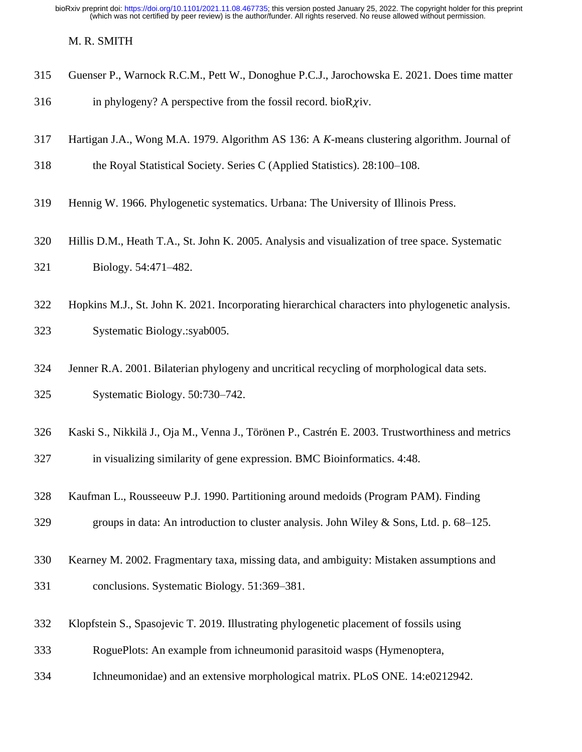<span id="page-17-1"></span>M. R. SMITH

- Guenser P., Warnock R.C.M., Pett W., Donoghue P.C.J., Jarochowska E. 2021. Does time matter
- 316 in phylogeny? A perspective from the fossil record. bioR $\chi$ iv.
- <span id="page-17-7"></span>Hartigan J.A., Wong M.A. 1979. Algorithm AS 136: A *K*-means clustering algorithm. Journal of
- the Royal Statistical Society. Series C (Applied Statistics). 28:100–108.
- <span id="page-17-4"></span>Hennig W. 1966. Phylogenetic systematics. Urbana: The University of Illinois Press.
- <span id="page-17-5"></span> Hillis D.M., Heath T.A., St. John K. 2005. Analysis and visualization of tree space. Systematic Biology. 54:471–482.
- <span id="page-17-0"></span> Hopkins M.J., St. John K. 2021. Incorporating hierarchical characters into phylogenetic analysis. Systematic Biology.:syab005.
- <span id="page-17-3"></span> Jenner R.A. 2001. Bilaterian phylogeny and uncritical recycling of morphological data sets. Systematic Biology. 50:730–742.
- <span id="page-17-6"></span>Kaski S., Nikkilä J., Oja M., Venna J., Törönen P., Castrén E. 2003. Trustworthiness and metrics

in visualizing similarity of gene expression. BMC Bioinformatics. 4:48.

- <span id="page-17-8"></span>Kaufman L., Rousseeuw P.J. 1990. Partitioning around medoids (Program PAM). Finding
- groups in data: An introduction to cluster analysis. John Wiley & Sons, Ltd. p. 68–125.
- <span id="page-17-2"></span> Kearney M. 2002. Fragmentary taxa, missing data, and ambiguity: Mistaken assumptions and conclusions. Systematic Biology. 51:369–381.
- <span id="page-17-9"></span>Klopfstein S., Spasojevic T. 2019. Illustrating phylogenetic placement of fossils using
- RoguePlots: An example from ichneumonid parasitoid wasps (Hymenoptera,
- Ichneumonidae) and an extensive morphological matrix. PLoS ONE. 14:e0212942.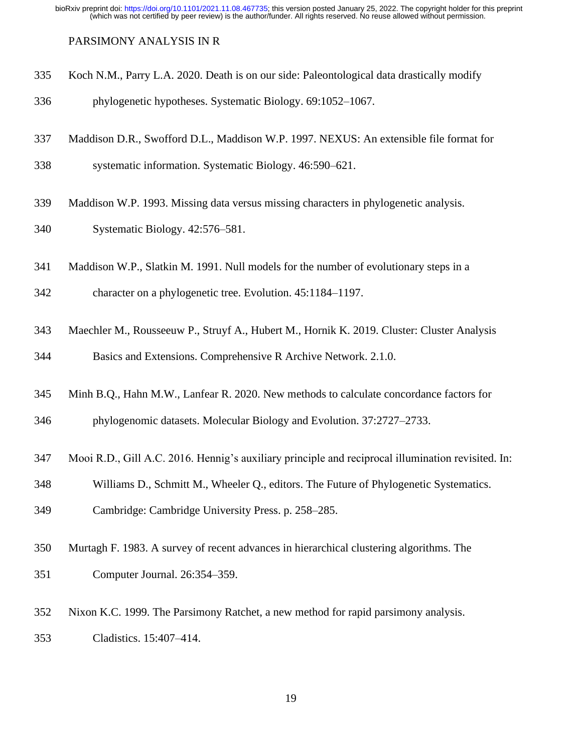#### <span id="page-18-0"></span>PARSIMONY ANALYSIS IN R

- Koch N.M., Parry L.A. 2020. Death is on our side: Paleontological data drastically modify
- phylogenetic hypotheses. Systematic Biology. 69:1052–1067.
- <span id="page-18-2"></span>Maddison D.R., Swofford D.L., Maddison W.P. 1997. NEXUS: An extensible file format for
- systematic information. Systematic Biology. 46:590–621.
- <span id="page-18-1"></span>Maddison W.P. 1993. Missing data versus missing characters in phylogenetic analysis.
- Systematic Biology. 42:576–581.
- <span id="page-18-5"></span>Maddison W.P., Slatkin M. 1991. Null models for the number of evolutionary steps in a
- character on a phylogenetic tree. Evolution. 45:1184–1197.
- <span id="page-18-7"></span> Maechler M., Rousseeuw P., Struyf A., Hubert M., Hornik K. 2019. Cluster: Cluster Analysis Basics and Extensions. Comprehensive R Archive Network. 2.1.0.
- <span id="page-18-8"></span>Minh B.Q., Hahn M.W., Lanfear R. 2020. New methods to calculate concordance factors for

phylogenomic datasets. Molecular Biology and Evolution. 37:2727–2733.

- <span id="page-18-3"></span>Mooi R.D., Gill A.C. 2016. Hennig's auxiliary principle and reciprocal illumination revisited. In:
- Williams D., Schmitt M., Wheeler Q., editors. The Future of Phylogenetic Systematics.
- Cambridge: Cambridge University Press. p. 258–285.
- <span id="page-18-6"></span> Murtagh F. 1983. A survey of recent advances in hierarchical clustering algorithms. The Computer Journal. 26:354–359.
- <span id="page-18-4"></span>Nixon K.C. 1999. The Parsimony Ratchet, a new method for rapid parsimony analysis.
- Cladistics. 15:407–414.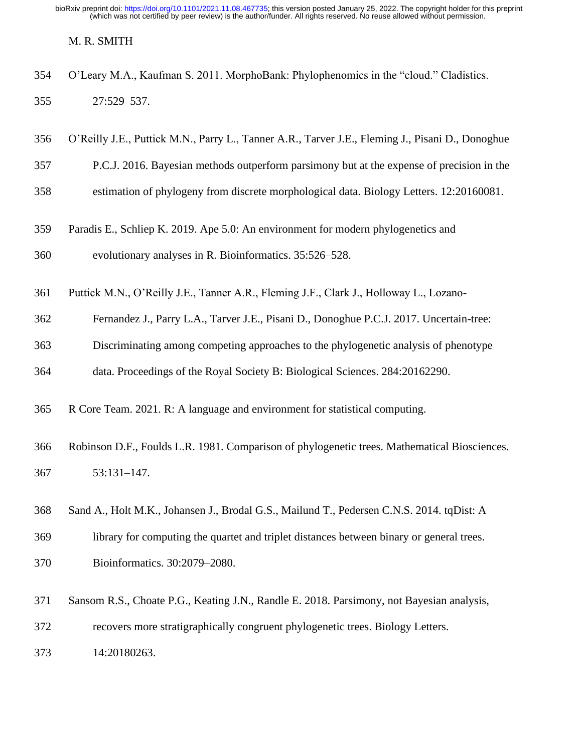#### M. R. SMITH

<span id="page-19-3"></span>

|     | 354 O'Leary M.A., Kaufman S. 2011. MorphoBank: Phylophenomics in the "cloud." Cladistics. |
|-----|-------------------------------------------------------------------------------------------|
| 355 | 27:529–537.                                                                               |

- <span id="page-19-0"></span>O'Reilly J.E., Puttick M.N., Parry L., Tanner A.R., Tarver J.E., Fleming J., Pisani D., Donoghue
- P.C.J. 2016. Bayesian methods outperform parsimony but at the expense of precision in the
- estimation of phylogeny from discrete morphological data. Biology Letters. 12:20160081.
- <span id="page-19-6"></span> Paradis E., Schliep K. 2019. Ape 5.0: An environment for modern phylogenetics and evolutionary analyses in R. Bioinformatics. 35:526–528.
- <span id="page-19-1"></span>Puttick M.N., O'Reilly J.E., Tanner A.R., Fleming J.F., Clark J., Holloway L., Lozano-
- Fernandez J., Parry L.A., Tarver J.E., Pisani D., Donoghue P.C.J. 2017. Uncertain-tree:
- Discriminating among competing approaches to the phylogenetic analysis of phenotype
- data. Proceedings of the Royal Society B: Biological Sciences. 284:20162290.
- <span id="page-19-5"></span>R Core Team. 2021. R: A language and environment for statistical computing.

# <span id="page-19-4"></span> Robinson D.F., Foulds L.R. 1981. Comparison of phylogenetic trees. Mathematical Biosciences. 53:131–147.

- <span id="page-19-7"></span>Sand A., Holt M.K., Johansen J., Brodal G.S., Mailund T., Pedersen C.N.S. 2014. tqDist: A
- library for computing the quartet and triplet distances between binary or general trees.
- Bioinformatics. 30:2079–2080.
- <span id="page-19-2"></span>Sansom R.S., Choate P.G., Keating J.N., Randle E. 2018. Parsimony, not Bayesian analysis,

recovers more stratigraphically congruent phylogenetic trees. Biology Letters.

14:20180263.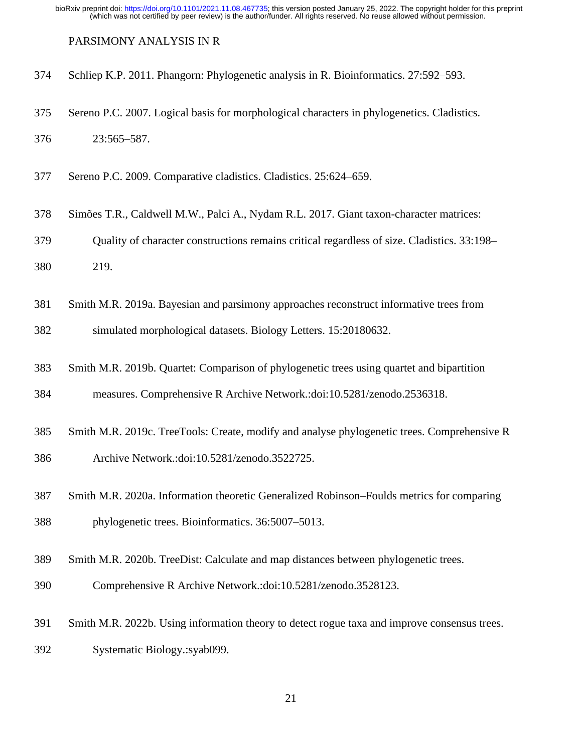#### <span id="page-20-5"></span>PARSIMONY ANALYSIS IN R

- Schliep K.P. 2011. Phangorn: Phylogenetic analysis in R. Bioinformatics. 27:592–593.
- <span id="page-20-4"></span> Sereno P.C. 2007. Logical basis for morphological characters in phylogenetics. Cladistics. 23:565–587.
- <span id="page-20-3"></span>Sereno P.C. 2009. Comparative cladistics. Cladistics. 25:624–659.
- <span id="page-20-2"></span>Simões T.R., Caldwell M.W., Palci A., Nydam R.L. 2017. Giant taxon-character matrices:

Quality of character constructions remains critical regardless of size. Cladistics. 33:198–

219.

<span id="page-20-0"></span>Smith M.R. 2019a. Bayesian and parsimony approaches reconstruct informative trees from

simulated morphological datasets. Biology Letters. 15:20180632.

<span id="page-20-7"></span>Smith M.R. 2019b. Quartet: Comparison of phylogenetic trees using quartet and bipartition

measures. Comprehensive R Archive Network.:doi:10.5281/zenodo.2536318.

- <span id="page-20-9"></span> Smith M.R. 2019c. TreeTools: Create, modify and analyse phylogenetic trees. Comprehensive R Archive Network.:doi:10.5281/zenodo.3522725.
- <span id="page-20-6"></span> Smith M.R. 2020a. Information theoretic Generalized Robinson–Foulds metrics for comparing phylogenetic trees. Bioinformatics. 36:5007–5013.
- <span id="page-20-8"></span>Smith M.R. 2020b. TreeDist: Calculate and map distances between phylogenetic trees.
- Comprehensive R Archive Network.:doi:10.5281/zenodo.3528123.
- <span id="page-20-1"></span> Smith M.R. 2022b. Using information theory to detect rogue taxa and improve consensus trees. Systematic Biology.:syab099.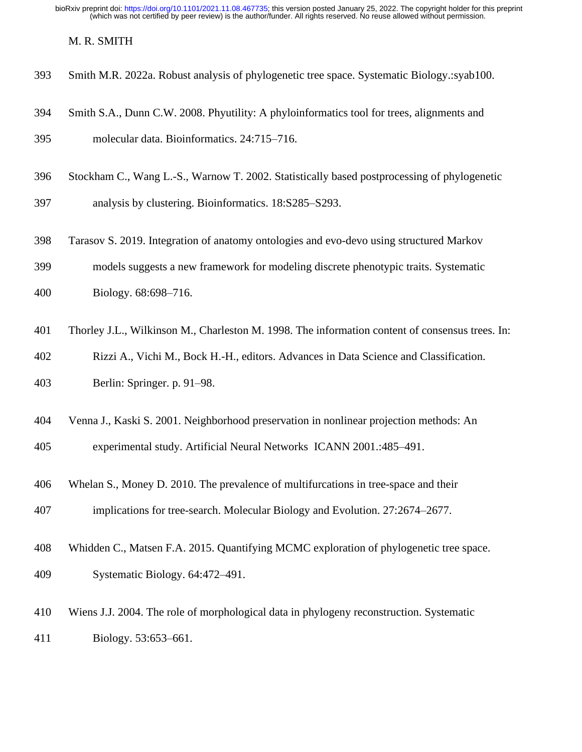#### <span id="page-21-3"></span>M. R. SMITH

- Smith M.R. 2022a. Robust analysis of phylogenetic tree space. Systematic Biology.:syab100.
- <span id="page-21-8"></span> Smith S.A., Dunn C.W. 2008. Phyutility: A phyloinformatics tool for trees, alignments and molecular data. Bioinformatics. 24:715–716.
- <span id="page-21-2"></span> Stockham C., Wang L.-S., Warnow T. 2002. Statistically based postprocessing of phylogenetic analysis by clustering. Bioinformatics. 18:S285–S293.
- <span id="page-21-1"></span>Tarasov S. 2019. Integration of anatomy ontologies and evo-devo using structured Markov
- models suggests a new framework for modeling discrete phenotypic traits. Systematic
- Biology. 68:698–716.
- <span id="page-21-6"></span>Thorley J.L., Wilkinson M., Charleston M. 1998. The information content of consensus trees. In:
- Rizzi A., Vichi M., Bock H.-H., editors. Advances in Data Science and Classification.
- Berlin: Springer. p. 91–98.
- <span id="page-21-7"></span>Venna J., Kaski S. 2001. Neighborhood preservation in nonlinear projection methods: An

experimental study. Artificial Neural Networks ICANN 2001.:485–491.

- <span id="page-21-4"></span>Whelan S., Money D. 2010. The prevalence of multifurcations in tree-space and their
- implications for tree-search. Molecular Biology and Evolution. 27:2674–2677.
- <span id="page-21-5"></span>Whidden C., Matsen F.A. 2015. Quantifying MCMC exploration of phylogenetic tree space.
- Systematic Biology. 64:472–491.
- <span id="page-21-0"></span> Wiens J.J. 2004. The role of morphological data in phylogeny reconstruction. Systematic Biology. 53:653–661.